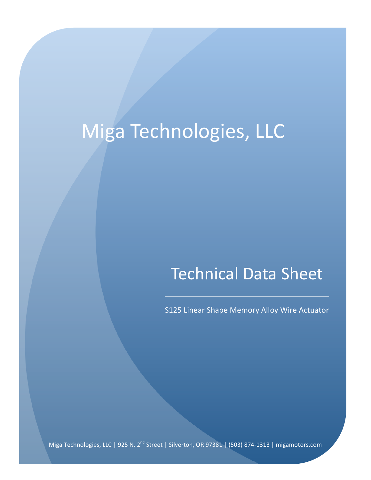## Miga Technologies, LLC

## **Technical Data Sheet**

S125 Linear Shape Memory Alloy Wire Actuator

Miga Technologies, LLC | 925 N. 2<sup>nd</sup> Street | Silverton, OR 97381 | (503) 874-1313 | migamotors.com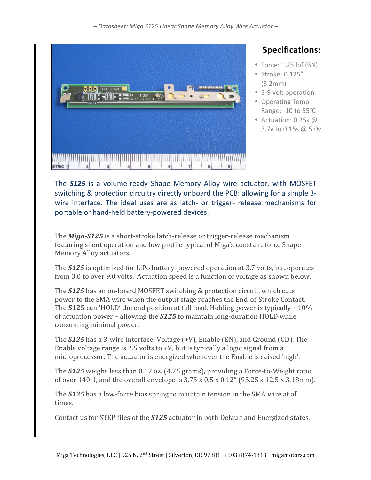*– Datasheet: Miga S125 Linear Shape Memory Alloy Wire Actuator –*



## **Specifications:**

- $\bullet$  Force: 1.25 lbf (6N)
- Stroke: 0.125" (3.2mm)
- 3-9 volt operation
- Operating Temp Range:  $-10$  to  $55^{\circ}$ C
- Actuation:  $0.25s$  @ 3.7v to 0.15s @ 5.0v

The **S125** is a volume-ready Shape Memory Alloy wire actuator, with MOSFET switching & protection circuitry directly onboard the PCB: allowing for a simple 3wire interface. The ideal uses are as latch- or trigger- release mechanisms for portable or hand-held battery-powered devices.

The *Miga-S125* is a short-stroke latch-release or trigger-release mechanism featuring silent operation and low profile typical of Miga's constant-force Shape Memory Alloy actuators.

The **S125** is optimized for LiPo battery-powered operation at 3.7 volts, but operates from 3.0 to over 9.0 volts. Actuation speed is a function of voltage as shown below.

The **S125** has an on-board MOSFET switching & protection circuit, which cuts power to the SMA wire when the output stage reaches the End-of-Stroke Contact. The **S125** can 'HOLD' the end position at full load. Holding power is typically  $\sim$ 10% of actuation power - allowing the **S125** to maintain long-duration HOLD while consuming minimal power.

The **S125** has a 3-wire interface: Voltage (+V), Enable (EN), and Ground (GD). The Enable voltage range is 2.5 volts to  $+V$ , but is typically a logic signal from a microprocessor. The actuator is energized whenever the Enable is raised 'high'.

The **S125** weighs less than 0.17 oz. (4.75 grams), providing a Force-to-Weight ratio of over 140:1, and the overall envelope is  $3.75 \times 0.5 \times 0.12$ " (95.25 x 12.5 x 3.18mm).

The **S125** has a low-force bias spring to maintain tension in the SMA wire at all times.

Contact us for STEP files of the **S125** actuator in both Default and Energized states.